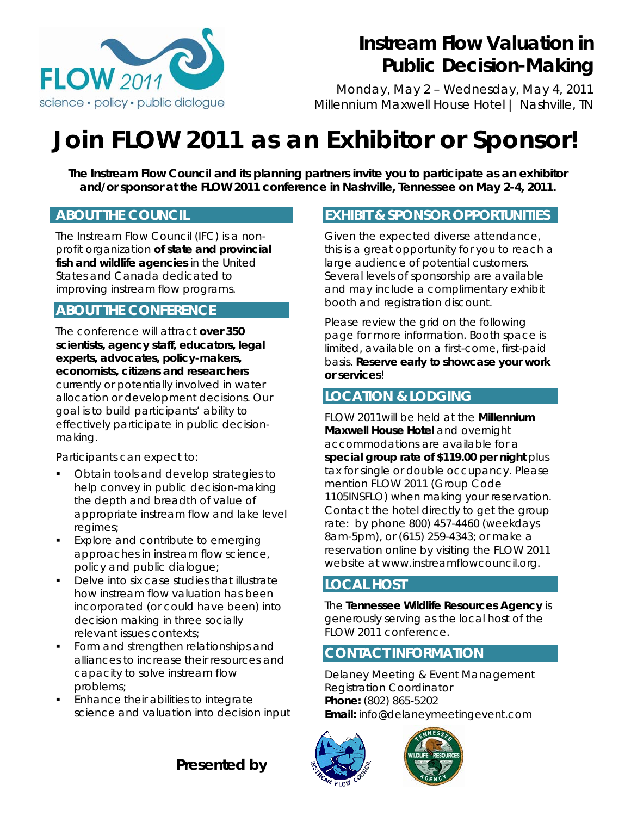

# **Instream Flow Valuation in Public Decision-Making**

Monday, May 2 – Wednesday, May 4, 2011 Millennium Maxwell House Hotel *|* Nashville, TN

# **Join** *FLOW* **2011 as an Exhibitor or Sponsor!**

*The Instream Flow Council and its planning partners invite you to participate as an exhibitor and/or sponsor at the FLOW 2011 conference in Nashville, Tennessee on May 2-4, 2011.* 

#### **ABOUT THE COUNCIL**

The Instream Flow Council (IFC) is a nonprofit organization **of state and provincial fish and wildlife agencies** in the United States and Canada dedicated to improving instream flow programs.

#### **ABOUT THE CONFERENCE**

The conference will attract **over 350 scientists, agency staff, educators, legal experts, advocates, policy-makers, economists, citizens and researchers** currently or potentially involved in water allocation or development decisions. Our goal is to build participants' ability to effectively participate in public decisionmaking.

Participants can expect to:

- Obtain tools and develop strategies to help convey in public decision-making the depth and breadth of value of appropriate instream flow and lake level regimes;
- **Explore and contribute to emerging** approaches in instream flow science, policy and public dialogue;
- Delve into six case studies that illustrate how instream flow valuation has been incorporated (or could have been) into decision making in three socially relevant issues contexts;
- Form and strengthen relationships and alliances to increase their resources and capacity to solve instream flow problems;
- Enhance their abilities to integrate science and valuation into decision input

## **EXHIBIT & SPONSOR OPPORTUNITIES**

Given the expected diverse attendance, this is a great opportunity for you to reach a large audience of potential customers. Several levels of sponsorship are available and may include a complimentary exhibit booth and registration discount.

Please review the grid on the following page for more information. Booth space is limited, available on a first-come, first-paid basis. **Reserve early to showcase your work or services**!

#### **LOCATION & LODGING**

*FLOW 2011*will be held at the **Millennium Maxwell House Hotel** and overnight accommodations are available for a **special group rate of \$119.00 per night** plus tax for single or double occupancy. Please mention *FLOW 2011* (Group Code 1105INSFLO) when making your reservation. Contact the hotel directly to get the group rate: by phone 800) 457-4460 (weekdays 8am-5pm), or (615) 259-4343; or make a reservation online by visiting the *FLOW* 2011 website at www.instreamflowcouncil.org.

#### **LOCAL HOST**

The **Tennessee Wildlife Resources Agency** is generously serving as the local host of the *FLOW* 2011 conference.

#### **CONTACT INFORMATION**

Delaney Meeting & Event Management Registration Coordinator **Phone:** (802) 865-5202 **Email:** info@delaneymeetingevent.com





*Presented by*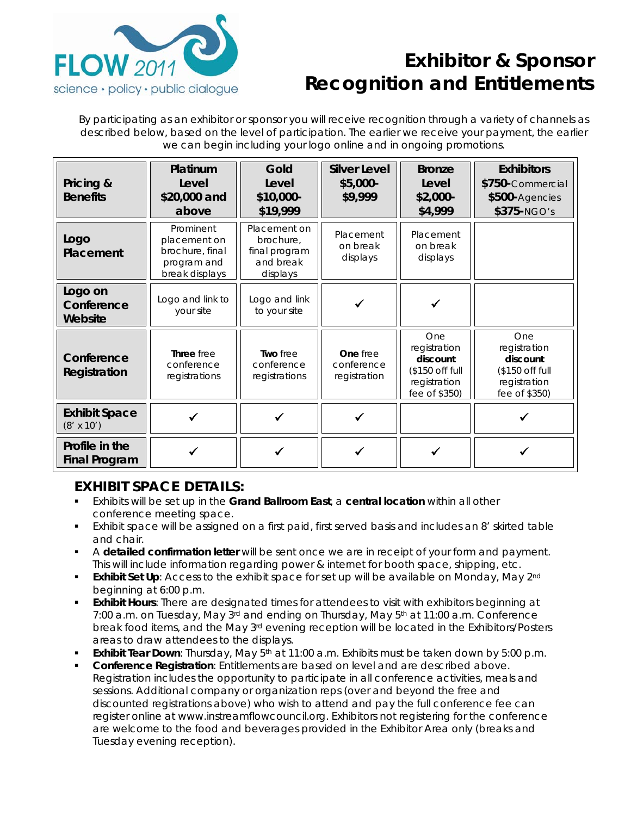

## **Exhibitor & Sponsor Recognition and Entitlements**

By participating as an exhibitor or sponsor you will receive recognition through a variety of channels as described below, based on the level of participation. The earlier we receive your payment, the earlier we can begin including your logo online and in ongoing promotions.

| Pricing &<br><b>Benefits</b>              | Platinum<br>Level<br>\$20,000 and<br>above                                    | Gold<br>Level<br>\$10,000-<br>\$19,999                              | <b>Silver Level</b><br>\$5,000-<br>\$9,999 | <b>Bronze</b><br>Level<br>$$2,000-$<br>\$4,999                                      | <b>Exhibitors</b><br>\$750-Commercial<br>\$500-Agencies<br>$$375-NGO's$             |
|-------------------------------------------|-------------------------------------------------------------------------------|---------------------------------------------------------------------|--------------------------------------------|-------------------------------------------------------------------------------------|-------------------------------------------------------------------------------------|
| Logo<br>Placement                         | Prominent<br>placement on<br>brochure, final<br>program and<br>break displays | Placement on<br>brochure.<br>final program<br>and break<br>displays | Placement<br>on break<br>displays          | Placement<br>on break<br>displays                                                   |                                                                                     |
| Logo on<br>Conference<br>Website          | Logo and link to<br>your site                                                 | Logo and link<br>to your site                                       |                                            |                                                                                     |                                                                                     |
| Conference<br>Registration                | Three free<br>conference<br>registrations                                     | Two free<br>conference<br>registrations                             | One free<br>conference<br>registration     | One<br>registration<br>discount<br>(\$150 off full<br>registration<br>fee of \$350) | One<br>registration<br>discount<br>(\$150 off full<br>registration<br>fee of \$350) |
| <b>Exhibit Space</b><br>$(8' \times 10')$ |                                                                               |                                                                     |                                            |                                                                                     |                                                                                     |
| Profile in the<br><b>Final Program</b>    |                                                                               |                                                                     |                                            |                                                                                     |                                                                                     |

### **EXHIBIT SPACE DETAILS:**

- Exhibits will be set up in the **Grand Ballroom East**, a **central location** within all other conference meeting space.
- Exhibit space will be assigned on a first paid, first served basis and includes an 8' skirted table and chair.
- A **detailed confirmation letter** will be sent once we are in receipt of your form and payment. This will include information regarding power & internet for booth space, shipping, etc.
- **Exhibit Set Up**: Access to the exhibit space for set up will be available on Monday, May 2<sup>nd</sup> beginning at 6:00 p.m.
- **Exhibit Hours**: There are designated times for attendees to visit with exhibitors beginning at 7:00 a.m. on Tuesday, May  $3^{rd}$  and ending on Thursday, May  $5^{th}$  at 11:00 a.m. Conference break food items, and the May 3<sup>rd</sup> evening reception will be located in the Exhibitors/Posters areas to draw attendees to the displays.
- **Exhibit Tear Down**: Thursday, May 5<sup>th</sup> at 11:00 a.m. Exhibits must be taken down by 5:00 p.m.
- **Conference Registration**: Entitlements are based on level and are described above. Registration includes the opportunity to participate in all conference activities, meals and sessions. Additional company or organization reps (over and beyond the free and discounted registrations above) who wish to attend and pay the full conference fee can register online at www.instreamflowcouncil.org. Exhibitors not registering for the conference are welcome to the food and beverages provided in the Exhibitor Area only (breaks and Tuesday evening reception).